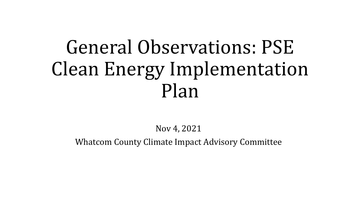# General Observations: PSE Clean Energy Implementation Plan

Nov 4, 2021

Whatcom County Climate Impact Advisory Committee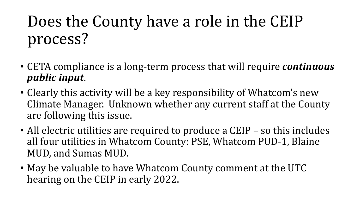### Does the County have a role in the CEIP process?

- CETA compliance is a long-term process that will require *continuous public input*.
- Clearly this activity will be a key responsibility of Whatcom's new Climate Manager. Unknown whether any current staff at the County are following this issue.
- All electric utilities are required to produce a CEIP so this includes all four utilities in Whatcom County: PSE, Whatcom PUD-1, Blaine MUD, and Sumas MUD.
- May be valuable to have Whatcom County comment at the UTC hearing on the CEIP in early 2022.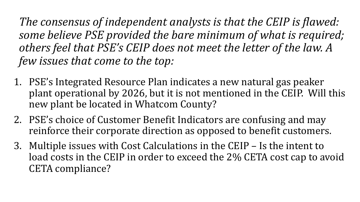The consensus of independent analysts is that the CEIP is flawed: some believe PSE provided the bare minimum of what is required; others feel that PSE's CEIP does not meet the letter of the law. A *few issues that come to the top:* 

- 1. PSE's Integrated Resource Plan indicates a new natural gas peaker plant operational by 2026, but it is not mentioned in the CEIP. Will this new plant be located in Whatcom County?
- 2. PSE's choice of Customer Benefit Indicators are confusing and may reinforce their corporate direction as opposed to benefit customers.
- 3. Multiple issues with Cost Calculations in the CEIP Is the intent to load costs in the CEIP in order to exceed the 2% CETA cost cap to avoid CETA compliance?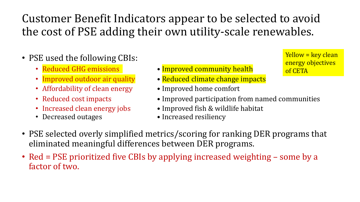#### Customer Benefit Indicators appear to be selected to avoid the cost of PSE adding their own utility-scale renewables.

- PSE used the following CBIs:
	-
	-
	- Affordability of clean energy Improved home comfort
	-
	-
	-
- Reduced GHG emissions **Improved community health**
- Improved outdoor air quality Reduced climate change impacts
	-
- Reduced cost impacts Improved participation from named communities
- Increased clean energy jobs Improved fish & wildlife habitat
- Decreased outages Increased resiliency

energy objectives of CETA

 $Yellow = key clean$ 

- PSE selected overly simplified metrics/scoring for ranking DER programs that eliminated meaningful differences between DER programs.
- Red = PSE prioritized five CBIs by applying increased weighting some by a factor of two.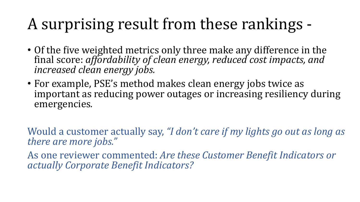## A surprising result from these rankings -

- Of the five weighted metrics only three make any difference in the final score: *affordability of clean energy, reduced cost impacts, and increased clean energy jobs.*
- For example, PSE's method makes clean energy jobs twice as important as reducing power outages or increasing resiliency during emergencies*.*

Would a customer actually say, "I don't care if my lights go out as long as there are more jobs."

As one reviewer commented: *Are these Customer Benefit Indicators or actually Corporate Benefit Indicators?*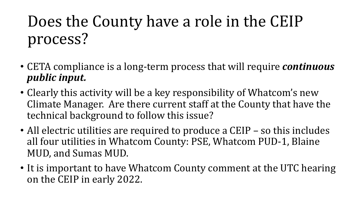### Does the County have a role in the CEIP process?

- CETA compliance is a long-term process that will require *continuous public input.*
- Clearly this activity will be a key responsibility of Whatcom's new Climate Manager. Are there current staff at the County that have the technical background to follow this issue?
- All electric utilities are required to produce a CEIP so this includes all four utilities in Whatcom County: PSE, Whatcom PUD-1, Blaine MUD, and Sumas MUD.
- It is important to have Whatcom County comment at the UTC hearing on the CEIP in early 2022.